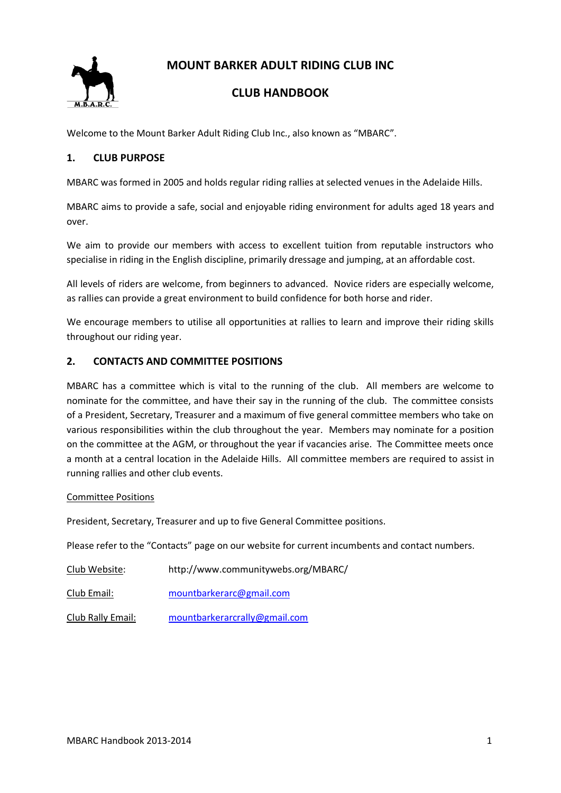**MOUNT BARKER ADULT RIDING CLUB INC**



# **CLUB HANDBOOK**

Welcome to the Mount Barker Adult Riding Club Inc., also known as "MBARC".

# **1. CLUB PURPOSE**

MBARC was formed in 2005 and holds regular riding rallies at selected venues in the Adelaide Hills.

MBARC aims to provide a safe, social and enjoyable riding environment for adults aged 18 years and over.

We aim to provide our members with access to excellent tuition from reputable instructors who specialise in riding in the English discipline, primarily dressage and jumping, at an affordable cost.

All levels of riders are welcome, from beginners to advanced. Novice riders are especially welcome, as rallies can provide a great environment to build confidence for both horse and rider.

We encourage members to utilise all opportunities at rallies to learn and improve their riding skills throughout our riding year.

# **2. CONTACTS AND COMMITTEE POSITIONS**

MBARC has a committee which is vital to the running of the club. All members are welcome to nominate for the committee, and have their say in the running of the club. The committee consists of a President, Secretary, Treasurer and a maximum of five general committee members who take on various responsibilities within the club throughout the year. Members may nominate for a position on the committee at the AGM, or throughout the year if vacancies arise. The Committee meets once a month at a central location in the Adelaide Hills. All committee members are required to assist in running rallies and other club events.

#### Committee Positions

President, Secretary, Treasurer and up to five General Committee positions.

Please refer to the "Contacts" page on our website for current incumbents and contact numbers.

Club Website: http://www.communitywebs.org/MBARC/ Club Email: [mountbarkerarc@gmail.com](mailto:mountbarkerarc@gmail.com)

Club Rally Email: [mountbarkerarcrally@gmail.com](mailto:mountbarkerarcrally@gmail.com)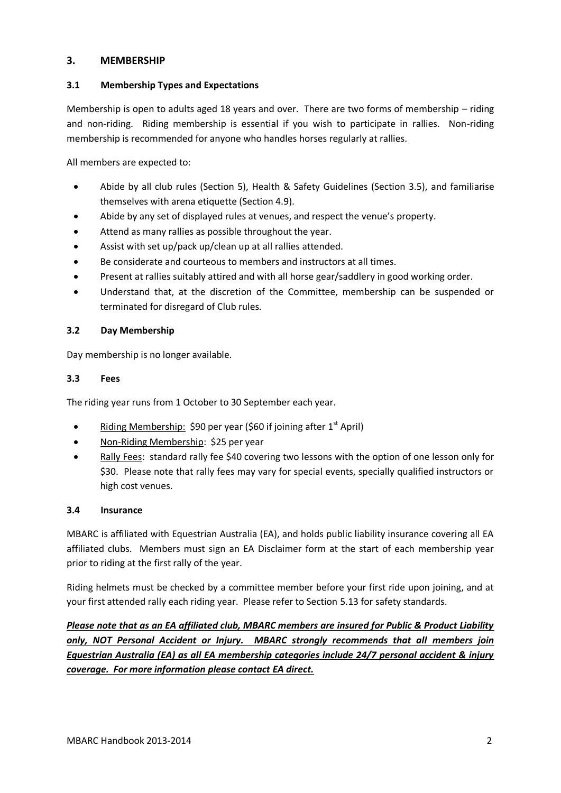# **3. MEMBERSHIP**

# **3.1 Membership Types and Expectations**

Membership is open to adults aged 18 years and over. There are two forms of membership – riding and non-riding. Riding membership is essential if you wish to participate in rallies. Non-riding membership is recommended for anyone who handles horses regularly at rallies.

All members are expected to:

- Abide by all club rules (Section 5), Health & Safety Guidelines (Section 3.5), and familiarise themselves with arena etiquette (Section 4.9).
- Abide by any set of displayed rules at venues, and respect the venue's property.
- Attend as many rallies as possible throughout the year.
- Assist with set up/pack up/clean up at all rallies attended.
- Be considerate and courteous to members and instructors at all times.
- Present at rallies suitably attired and with all horse gear/saddlery in good working order.
- Understand that, at the discretion of the Committee, membership can be suspended or terminated for disregard of Club rules.

# **3.2 Day Membership**

Day membership is no longer available.

### **3.3 Fees**

The riding year runs from 1 October to 30 September each year.

- Riding Membership: \$90 per year (\$60 if joining after  $1<sup>st</sup>$  April)
- Non-Riding Membership: \$25 per year
- Rally Fees: standard rally fee \$40 covering two lessons with the option of one lesson only for \$30. Please note that rally fees may vary for special events, specially qualified instructors or high cost venues.

# **3.4 Insurance**

MBARC is affiliated with Equestrian Australia (EA), and holds public liability insurance covering all EA affiliated clubs. Members must sign an EA Disclaimer form at the start of each membership year prior to riding at the first rally of the year.

Riding helmets must be checked by a committee member before your first ride upon joining, and at your first attended rally each riding year. Please refer to Section 5.13 for safety standards.

*Please note that as an EA affiliated club, MBARC members are insured for Public & Product Liability only, NOT Personal Accident or Injury. MBARC strongly recommends that all members join Equestrian Australia (EA) as all EA membership categories include 24/7 personal accident & injury coverage. For more information please contact EA direct.*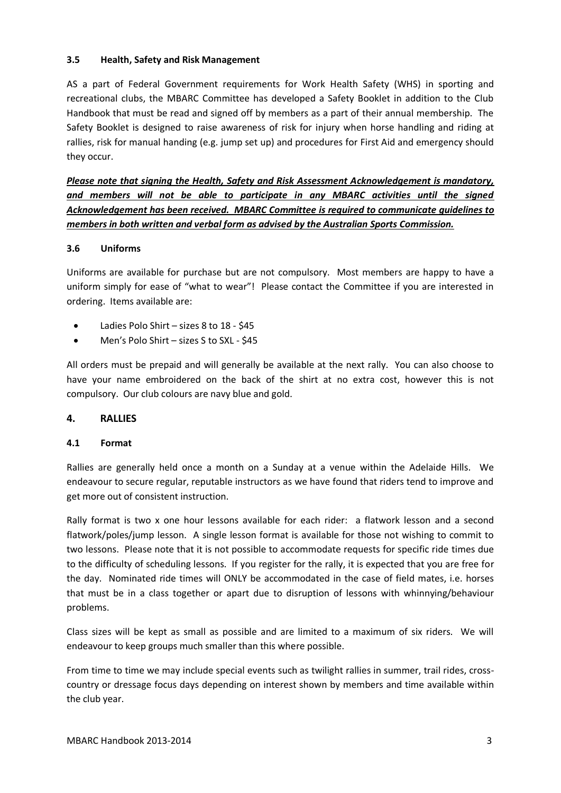### **3.5 Health, Safety and Risk Management**

AS a part of Federal Government requirements for Work Health Safety (WHS) in sporting and recreational clubs, the MBARC Committee has developed a Safety Booklet in addition to the Club Handbook that must be read and signed off by members as a part of their annual membership. The Safety Booklet is designed to raise awareness of risk for injury when horse handling and riding at rallies, risk for manual handing (e.g. jump set up) and procedures for First Aid and emergency should they occur.

*Please note that signing the Health, Safety and Risk Assessment Acknowledgement is mandatory, and members will not be able to participate in any MBARC activities until the signed Acknowledgement has been received. MBARC Committee is required to communicate guidelines to members in both written and verbal form as advised by the Australian Sports Commission.*

### **3.6 Uniforms**

Uniforms are available for purchase but are not compulsory. Most members are happy to have a uniform simply for ease of "what to wear"! Please contact the Committee if you are interested in ordering. Items available are:

- Ladies Polo Shirt sizes 8 to 18 \$45
- Men's Polo Shirt sizes S to SXL \$45

All orders must be prepaid and will generally be available at the next rally. You can also choose to have your name embroidered on the back of the shirt at no extra cost, however this is not compulsory. Our club colours are navy blue and gold.

# **4. RALLIES**

#### **4.1 Format**

Rallies are generally held once a month on a Sunday at a venue within the Adelaide Hills. We endeavour to secure regular, reputable instructors as we have found that riders tend to improve and get more out of consistent instruction.

Rally format is two x one hour lessons available for each rider: a flatwork lesson and a second flatwork/poles/jump lesson. A single lesson format is available for those not wishing to commit to two lessons. Please note that it is not possible to accommodate requests for specific ride times due to the difficulty of scheduling lessons. If you register for the rally, it is expected that you are free for the day. Nominated ride times will ONLY be accommodated in the case of field mates, i.e. horses that must be in a class together or apart due to disruption of lessons with whinnying/behaviour problems.

Class sizes will be kept as small as possible and are limited to a maximum of six riders. We will endeavour to keep groups much smaller than this where possible.

From time to time we may include special events such as twilight rallies in summer, trail rides, crosscountry or dressage focus days depending on interest shown by members and time available within the club year.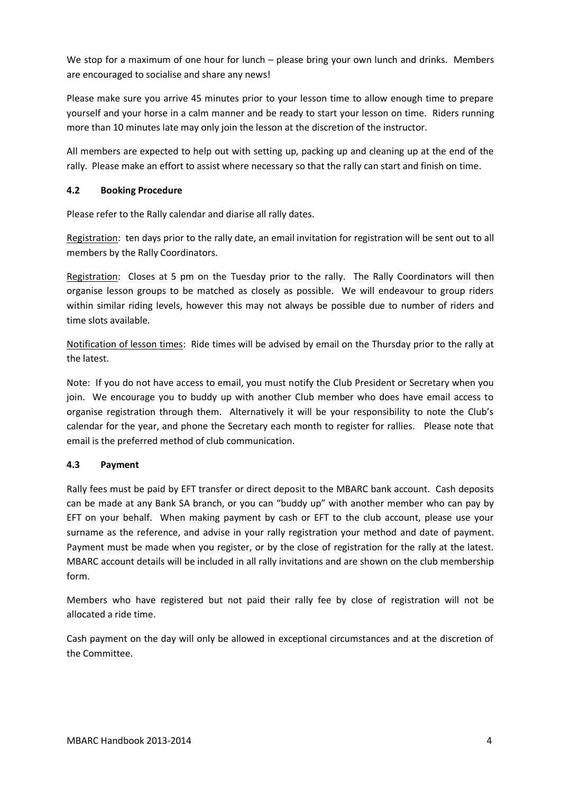We stop for a maximum of one hour for lunch – please bring your own lunch and drinks. Members are encouraged to socialise and share any news!

Please make sure you arrive 45 minutes prior to your lesson time to allow enough time to prepare yourself and your horse in a calm manner and be ready to start your lesson on time. Riders running more than 10 minutes late may only join the lesson at the discretion of the instructor.

All members are expected to help out with setting up, packing up and cleaning up at the end of the rally. Please make an effort to assist where necessary so that the rally can start and finish on time.

# **4.2 Booking Procedure**

Please refer to the Rally calendar and diarise all rally dates.

Registration: ten days prior to the rally date, an email invitation for registration will be sent out to all members by the Rally Coordinators.

Registration: Closes at 5 pm on the Tuesday prior to the rally. The Rally Coordinators will then organise lesson groups to be matched as closely as possible. We will endeavour to group riders within similar riding levels, however this may not always be possible due to number of riders and time slots available.

Notification of lesson times: Ride times will be advised by email on the Thursday prior to the rally at the latest.

Note: If you do not have access to email, you must notify the Club President or Secretary when you join. We encourage you to buddy up with another Club member who does have email access to organise registration through them. Alternatively it will be your responsibility to note the Club's calendar for the year, and phone the Secretary each month to register for rallies. Please note that email is the preferred method of club communication.

# **4.3 Payment**

Rally fees must be paid by EFT transfer or direct deposit to the MBARC bank account. Cash deposits can be made at any Bank SA branch, or you can "buddy up" with another member who can pay by EFT on your behalf. When making payment by cash or EFT to the club account, please use your surname as the reference, and advise in your rally registration your method and date of payment. Payment must be made when you register, or by the close of registration for the rally at the latest. MBARC account details will be included in all rally invitations and are shown on the club membership form.

Members who have registered but not paid their rally fee by close of registration will not be allocated a ride time.

Cash payment on the day will only be allowed in exceptional circumstances and at the discretion of the Committee.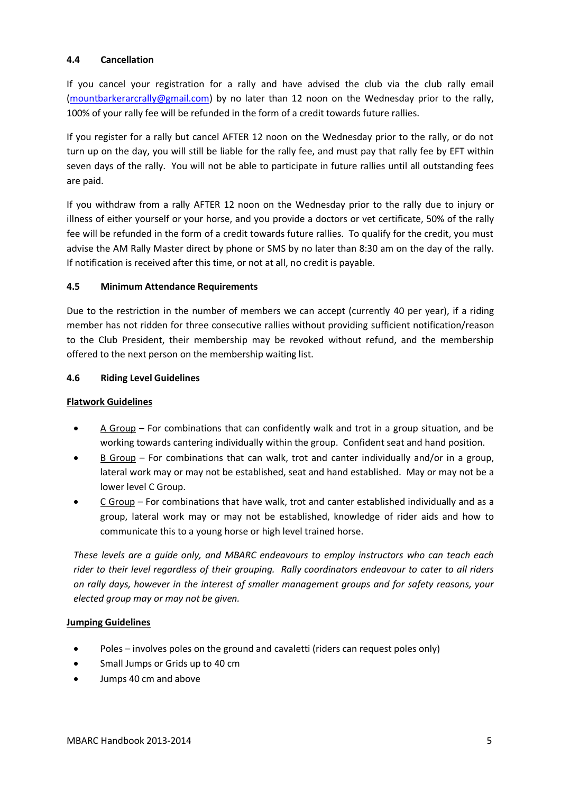### **4.4 Cancellation**

If you cancel your registration for a rally and have advised the club via the club rally email [\(mountbarkerarcrally@gmail.com\)](mailto:mountbarkerarcrally@gmail.com) by no later than 12 noon on the Wednesday prior to the rally, 100% of your rally fee will be refunded in the form of a credit towards future rallies.

If you register for a rally but cancel AFTER 12 noon on the Wednesday prior to the rally, or do not turn up on the day, you will still be liable for the rally fee, and must pay that rally fee by EFT within seven days of the rally. You will not be able to participate in future rallies until all outstanding fees are paid.

If you withdraw from a rally AFTER 12 noon on the Wednesday prior to the rally due to injury or illness of either yourself or your horse, and you provide a doctors or vet certificate, 50% of the rally fee will be refunded in the form of a credit towards future rallies. To qualify for the credit, you must advise the AM Rally Master direct by phone or SMS by no later than 8:30 am on the day of the rally. If notification is received after this time, or not at all, no credit is payable.

### **4.5 Minimum Attendance Requirements**

Due to the restriction in the number of members we can accept (currently 40 per year), if a riding member has not ridden for three consecutive rallies without providing sufficient notification/reason to the Club President, their membership may be revoked without refund, and the membership offered to the next person on the membership waiting list.

### **4.6 Riding Level Guidelines**

### **Flatwork Guidelines**

- A Group For combinations that can confidently walk and trot in a group situation, and be working towards cantering individually within the group. Confident seat and hand position.
- $B$  Group For combinations that can walk, trot and canter individually and/or in a group, lateral work may or may not be established, seat and hand established. May or may not be a lower level C Group.
- C Group For combinations that have walk, trot and canter established individually and as a group, lateral work may or may not be established, knowledge of rider aids and how to communicate this to a young horse or high level trained horse.

*These levels are a guide only, and MBARC endeavours to employ instructors who can teach each rider to their level regardless of their grouping. Rally coordinators endeavour to cater to all riders on rally days, however in the interest of smaller management groups and for safety reasons, your elected group may or may not be given.*

# **Jumping Guidelines**

- Poles involves poles on the ground and cavaletti (riders can request poles only)
- Small Jumps or Grids up to 40 cm
- Jumps 40 cm and above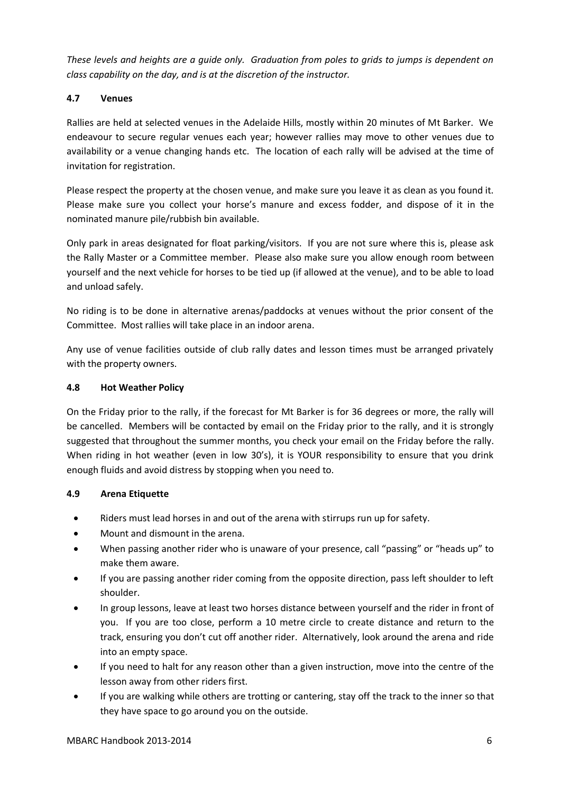*These levels and heights are a guide only. Graduation from poles to grids to jumps is dependent on class capability on the day, and is at the discretion of the instructor.*

# **4.7 Venues**

Rallies are held at selected venues in the Adelaide Hills, mostly within 20 minutes of Mt Barker. We endeavour to secure regular venues each year; however rallies may move to other venues due to availability or a venue changing hands etc. The location of each rally will be advised at the time of invitation for registration.

Please respect the property at the chosen venue, and make sure you leave it as clean as you found it. Please make sure you collect your horse's manure and excess fodder, and dispose of it in the nominated manure pile/rubbish bin available.

Only park in areas designated for float parking/visitors. If you are not sure where this is, please ask the Rally Master or a Committee member. Please also make sure you allow enough room between yourself and the next vehicle for horses to be tied up (if allowed at the venue), and to be able to load and unload safely.

No riding is to be done in alternative arenas/paddocks at venues without the prior consent of the Committee. Most rallies will take place in an indoor arena.

Any use of venue facilities outside of club rally dates and lesson times must be arranged privately with the property owners.

# **4.8 Hot Weather Policy**

On the Friday prior to the rally, if the forecast for Mt Barker is for 36 degrees or more, the rally will be cancelled. Members will be contacted by email on the Friday prior to the rally, and it is strongly suggested that throughout the summer months, you check your email on the Friday before the rally. When riding in hot weather (even in low 30's), it is YOUR responsibility to ensure that you drink enough fluids and avoid distress by stopping when you need to.

# **4.9 Arena Etiquette**

- Riders must lead horses in and out of the arena with stirrups run up for safety.
- Mount and dismount in the arena.
- When passing another rider who is unaware of your presence, call "passing" or "heads up" to make them aware.
- If you are passing another rider coming from the opposite direction, pass left shoulder to left shoulder.
- In group lessons, leave at least two horses distance between yourself and the rider in front of you. If you are too close, perform a 10 metre circle to create distance and return to the track, ensuring you don't cut off another rider. Alternatively, look around the arena and ride into an empty space.
- If you need to halt for any reason other than a given instruction, move into the centre of the lesson away from other riders first.
- If you are walking while others are trotting or cantering, stay off the track to the inner so that they have space to go around you on the outside.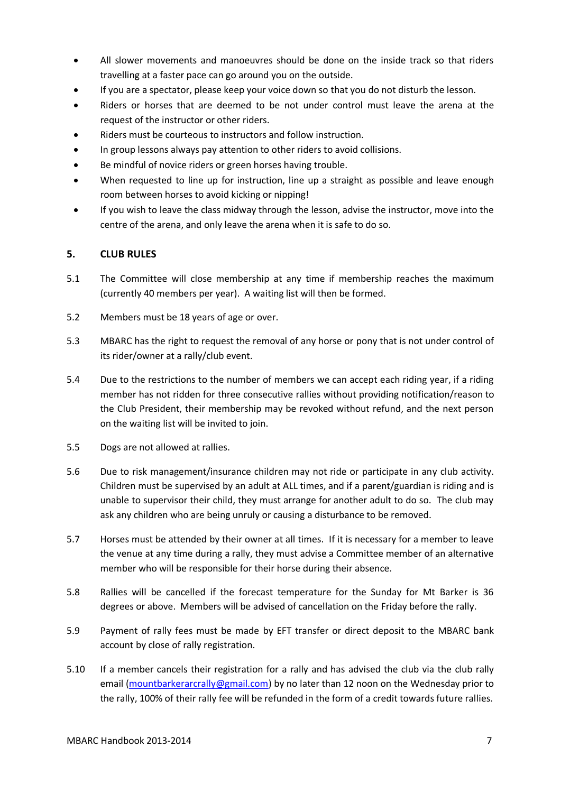- All slower movements and manoeuvres should be done on the inside track so that riders travelling at a faster pace can go around you on the outside.
- If you are a spectator, please keep your voice down so that you do not disturb the lesson.
- Riders or horses that are deemed to be not under control must leave the arena at the request of the instructor or other riders.
- Riders must be courteous to instructors and follow instruction.
- In group lessons always pay attention to other riders to avoid collisions.
- Be mindful of novice riders or green horses having trouble.
- When requested to line up for instruction, line up a straight as possible and leave enough room between horses to avoid kicking or nipping!
- If you wish to leave the class midway through the lesson, advise the instructor, move into the centre of the arena, and only leave the arena when it is safe to do so.

# **5. CLUB RULES**

- 5.1 The Committee will close membership at any time if membership reaches the maximum (currently 40 members per year). A waiting list will then be formed.
- 5.2 Members must be 18 years of age or over.
- 5.3 MBARC has the right to request the removal of any horse or pony that is not under control of its rider/owner at a rally/club event.
- 5.4 Due to the restrictions to the number of members we can accept each riding year, if a riding member has not ridden for three consecutive rallies without providing notification/reason to the Club President, their membership may be revoked without refund, and the next person on the waiting list will be invited to join.
- 5.5 Dogs are not allowed at rallies.
- 5.6 Due to risk management/insurance children may not ride or participate in any club activity. Children must be supervised by an adult at ALL times, and if a parent/guardian is riding and is unable to supervisor their child, they must arrange for another adult to do so. The club may ask any children who are being unruly or causing a disturbance to be removed.
- 5.7 Horses must be attended by their owner at all times. If it is necessary for a member to leave the venue at any time during a rally, they must advise a Committee member of an alternative member who will be responsible for their horse during their absence.
- 5.8 Rallies will be cancelled if the forecast temperature for the Sunday for Mt Barker is 36 degrees or above. Members will be advised of cancellation on the Friday before the rally.
- 5.9 Payment of rally fees must be made by EFT transfer or direct deposit to the MBARC bank account by close of rally registration.
- 5.10 If a member cancels their registration for a rally and has advised the club via the club rally email [\(mountbarkerarcrally@gmail.com\)](mailto:mountbarkerarcrally@gmail.com) by no later than 12 noon on the Wednesday prior to the rally, 100% of their rally fee will be refunded in the form of a credit towards future rallies.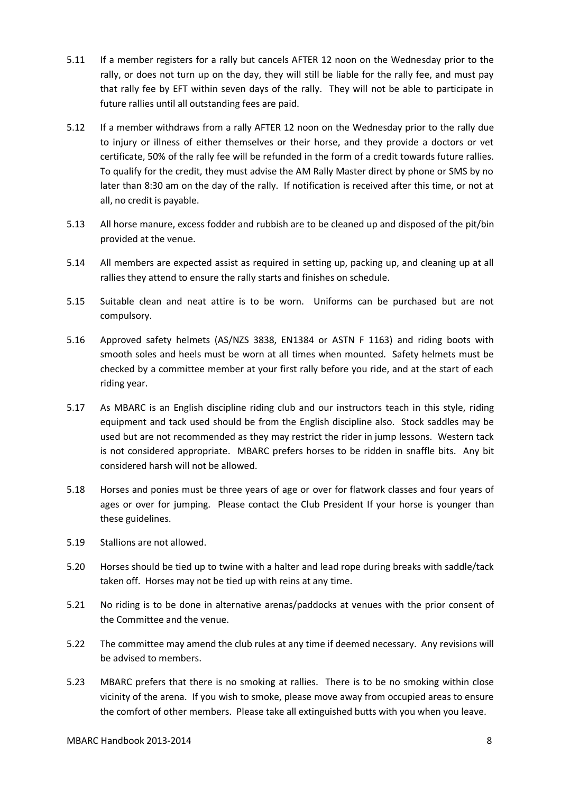- 5.11 If a member registers for a rally but cancels AFTER 12 noon on the Wednesday prior to the rally, or does not turn up on the day, they will still be liable for the rally fee, and must pay that rally fee by EFT within seven days of the rally. They will not be able to participate in future rallies until all outstanding fees are paid.
- 5.12 If a member withdraws from a rally AFTER 12 noon on the Wednesday prior to the rally due to injury or illness of either themselves or their horse, and they provide a doctors or vet certificate, 50% of the rally fee will be refunded in the form of a credit towards future rallies. To qualify for the credit, they must advise the AM Rally Master direct by phone or SMS by no later than 8:30 am on the day of the rally. If notification is received after this time, or not at all, no credit is payable.
- 5.13 All horse manure, excess fodder and rubbish are to be cleaned up and disposed of the pit/bin provided at the venue.
- 5.14 All members are expected assist as required in setting up, packing up, and cleaning up at all rallies they attend to ensure the rally starts and finishes on schedule.
- 5.15 Suitable clean and neat attire is to be worn. Uniforms can be purchased but are not compulsory.
- 5.16 Approved safety helmets (AS/NZS 3838, EN1384 or ASTN F 1163) and riding boots with smooth soles and heels must be worn at all times when mounted. Safety helmets must be checked by a committee member at your first rally before you ride, and at the start of each riding year.
- 5.17 As MBARC is an English discipline riding club and our instructors teach in this style, riding equipment and tack used should be from the English discipline also. Stock saddles may be used but are not recommended as they may restrict the rider in jump lessons. Western tack is not considered appropriate. MBARC prefers horses to be ridden in snaffle bits. Any bit considered harsh will not be allowed.
- 5.18 Horses and ponies must be three years of age or over for flatwork classes and four years of ages or over for jumping. Please contact the Club President If your horse is younger than these guidelines.
- 5.19 Stallions are not allowed.
- 5.20 Horses should be tied up to twine with a halter and lead rope during breaks with saddle/tack taken off. Horses may not be tied up with reins at any time.
- 5.21 No riding is to be done in alternative arenas/paddocks at venues with the prior consent of the Committee and the venue.
- 5.22 The committee may amend the club rules at any time if deemed necessary. Any revisions will be advised to members.
- 5.23 MBARC prefers that there is no smoking at rallies. There is to be no smoking within close vicinity of the arena. If you wish to smoke, please move away from occupied areas to ensure the comfort of other members. Please take all extinguished butts with you when you leave.